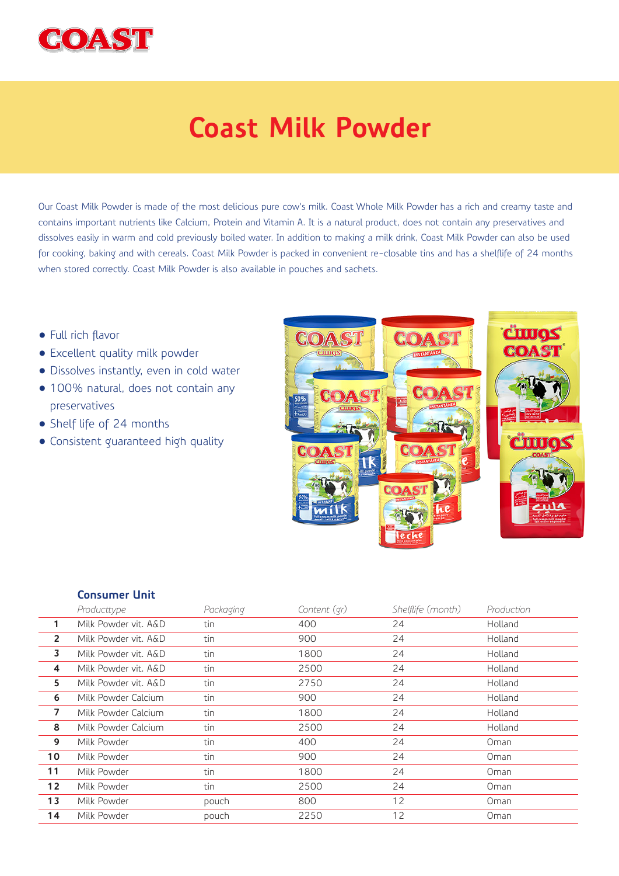

## **Coast Milk Powder**

Our Coast Milk Powder is made of the most delicious pure cow's milk. Coast Whole Milk Powder has a rich and creamy taste and contains important nutrients like Calcium, Protein and Vitamin A. It is a natural product, does not contain any preservatives and dissolves easily in warm and cold previously boiled water. In addition to making a milk drink, Coast Milk Powder can also be used for cooking, baking and with cereals. Coast Milk Powder is packed in convenient re-closable tins and has a shelflife of 24 months when stored correctly. Coast Milk Powder is also available in pouches and sachets.

- Full rich flavor
- Excellent quality milk powder
- Dissolves instantly, even in cold water
- 100% natural, does not contain any preservatives
- Shelf life of 24 months
- Consistent guaranteed high quality



## **Consumer Unit**

|                 | Producttype          | Packaging | Content (qr) | Shelflife (month) | Production |
|-----------------|----------------------|-----------|--------------|-------------------|------------|
| 1               | Milk Powder vit. A&D | tin       | 400          | 24                | Holland    |
| $\overline{2}$  | Milk Powder vit. A&D | tin       | 900          | 24                | Holland    |
| 3               | Milk Powder vit. A&D | tin       | 1800         | 24                | Holland    |
| 4               | Milk Powder vit. A&D | tin       | 2500         | 24                | Holland    |
| 5               | Milk Powder vit. A&D | tin       | 2750         | 24                | Holland    |
| 6               | Milk Powder Calcium  | tin       | 900          | 24                | Holland    |
| 7               | Milk Powder Calcium  | tin       | 1800         | 24                | Holland    |
| 8               | Milk Powder Calcium  | tin       | 2500         | 24                | Holland    |
| 9               | Milk Powder          | tin       | 400          | 24                | Oman       |
| 10 <sup>°</sup> | Milk Powder          | tin       | 900          | 24                | Oman       |
| 11              | Milk Powder          | tin       | 1800         | 24                | Oman       |
| 12 <sup>2</sup> | Milk Powder          | tin       | 2500         | 24                | Oman       |
| 13              | Milk Powder          | pouch     | 800          | 12                | Oman       |
| 14              | Milk Powder          | pouch     | 2250         | 12                | Oman       |